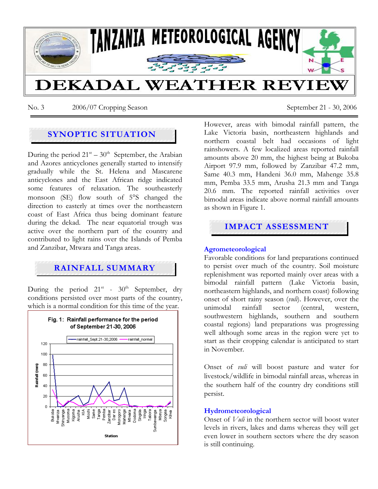

No. 3 2006/07 Cropping Season September 21 - 30, 2006

## **SYNOPTIC SITUATION**

During the period  $21<sup>st</sup> - 30<sup>th</sup>$  September, the Arabian and Azores anticyclones generally started to intensify gradually while the St. Helena and Mascarene anticyclones and the East African ridge indicated some features of relaxation. The southeasterly monsoon (SE) flow south of 5°S changed the direction to easterly at times over the northeastern coast of East Africa thus being dominant feature during the dekad. The near equatorial trough was active over the northern part of the country and contributed to light rains over the Islands of Pemba and Zanzibar, Mtwara and Tanga areas.

# **RAINFALL SUMMARY**

During the period  $21^{st}$  -  $30^{th}$  September, dry conditions persisted over most parts of the country, which is a normal condition for this time of the year.



However, areas with bimodal rainfall pattern, the Lake Victoria basin, northeastern highlands and northern coastal belt had occasions of light rainshowers. A few localized areas reported rainfall amounts above 20 mm, the highest being at Bukoba Airport 97.9 mm, followed by Zanzibar 47.2 mm, Same 40.3 mm, Handeni 36.0 mm, Mahenge 35.8 mm, Pemba 33.5 mm, Arusha 21.3 mm and Tanga 20.6 mm. The reported rainfall activities over bimodal areas indicate above normal rainfall amounts as shown in Figure 1.

# **IMPACT ASSESSMENT**

## **Agrometeorological**

Favorable conditions for land preparations continued to persist over much of the country. Soil moisture replenishment was reported mainly over areas with a bimodal rainfall pattern (Lake Victoria basin, northeastern highlands, and northern coast) following onset of short rainy season (*vuli*). However, over the unimodal rainfall sector (central, western, southwestern highlands, southern and southern coastal regions) land preparations was progressing well although some areas in the region were yet to start as their cropping calendar is anticipated to start in November.

Onset of *vuli* will boost pasture and water for livestock/wildlife in bimodal rainfall areas, whereas in the southern half of the country dry conditions still persist.

### **Hydrometeorological**

Onset of *Vuli* in the northern sector will boost water levels in rivers, lakes and dams whereas they will get even lower in southern sectors where the dry season is still continuing.